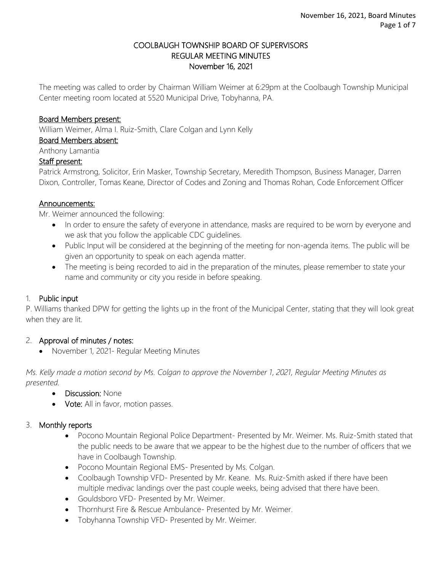#### COOLBAUGH TOWNSHIP BOARD OF SUPERVISORS REGULAR MEETING MINUTES November 16, 2021

The meeting was called to order by Chairman William Weimer at 6:29pm at the Coolbaugh Township Municipal Center meeting room located at 5520 Municipal Drive, Tobyhanna, PA.

#### Board Members present:

William Weimer, Alma I. Ruiz-Smith, Clare Colgan and Lynn Kelly

Board Members absent:

Anthony Lamantia

#### Staff present:

Patrick Armstrong, Solicitor, Erin Masker, Township Secretary, Meredith Thompson, Business Manager, Darren Dixon, Controller, Tomas Keane, Director of Codes and Zoning and Thomas Rohan, Code Enforcement Officer

#### Announcements:

Mr. Weimer announced the following:

- In order to ensure the safety of everyone in attendance, masks are required to be worn by everyone and we ask that you follow the applicable CDC guidelines.
- Public Input will be considered at the beginning of the meeting for non-agenda items. The public will be given an opportunity to speak on each agenda matter.
- The meeting is being recorded to aid in the preparation of the minutes, please remember to state your name and community or city you reside in before speaking.

### 1. Public input

P. Williams thanked DPW for getting the lights up in the front of the Municipal Center, stating that they will look great when they are lit.

### 2. Approval of minutes / notes:

• November 1, 2021- Regular Meeting Minutes

*Ms. Kelly made a motion second by Ms. Colgan to approve the November 1, 2021, Regular Meeting Minutes as presented.*

- Discussion: None
- Vote: All in favor, motion passes.

### 3. Monthly reports

- Pocono Mountain Regional Police Department- Presented by Mr. Weimer. Ms. Ruiz-Smith stated that the public needs to be aware that we appear to be the highest due to the number of officers that we have in Coolbaugh Township.
- Pocono Mountain Regional EMS- Presented by Ms. Colgan.
- Coolbaugh Township VFD- Presented by Mr. Keane. Ms. Ruiz-Smith asked if there have been multiple medivac landings over the past couple weeks, being advised that there have been.
- Gouldsboro VFD- Presented by Mr. Weimer.
- Thornhurst Fire & Rescue Ambulance- Presented by Mr. Weimer.
- Tobyhanna Township VFD- Presented by Mr. Weimer.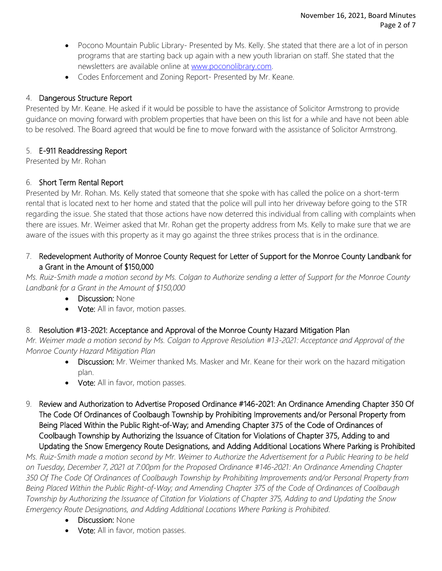- Pocono Mountain Public Library- Presented by Ms. Kelly. She stated that there are a lot of in person programs that are starting back up again with a new youth librarian on staff. She stated that the newsletters are available online at [www.poconolibrary.com.](http://www.poconolibrary.com/)
- Codes Enforcement and Zoning Report- Presented by Mr. Keane.

## 4. Dangerous Structure Report

Presented by Mr. Keane. He asked if it would be possible to have the assistance of Solicitor Armstrong to provide guidance on moving forward with problem properties that have been on this list for a while and have not been able to be resolved. The Board agreed that would be fine to move forward with the assistance of Solicitor Armstrong.

## 5. E-911 Readdressing Report

Presented by Mr. Rohan

## 6. Short Term Rental Report

Presented by Mr. Rohan. Ms. Kelly stated that someone that she spoke with has called the police on a short-term rental that is located next to her home and stated that the police will pull into her driveway before going to the STR regarding the issue. She stated that those actions have now deterred this individual from calling with complaints when there are issues. Mr. Weimer asked that Mr. Rohan get the property address from Ms. Kelly to make sure that we are aware of the issues with this property as it may go against the three strikes process that is in the ordinance.

## 7. Redevelopment Authority of Monroe County Request for Letter of Support for the Monroe County Landbank for a Grant in the Amount of \$150,000

*Ms. Ruiz-Smith made a motion second by Ms. Colgan to Authorize sending a letter of Support for the Monroe County Landbank for a Grant in the Amount of \$150,000*

- Discussion: None
- Vote: All in favor, motion passes.

# 8. Resolution #13-2021: Acceptance and Approval of the Monroe County Hazard Mitigation Plan

*Mr. Weimer made a motion second by Ms. Colgan to Approve Resolution #13-2021: Acceptance and Approval of the Monroe County Hazard Mitigation Plan*

- Discussion: Mr. Weimer thanked Ms. Masker and Mr. Keane for their work on the hazard mitigation plan.
- Vote: All in favor, motion passes.
- 9. Review and Authorization to Advertise Proposed Ordinance #146-2021: An Ordinance Amending Chapter 350 Of The Code Of Ordinances of Coolbaugh Township by Prohibiting Improvements and/or Personal Property from Being Placed Within the Public Right-of-Way; and Amending Chapter 375 of the Code of Ordinances of Coolbaugh Township by Authorizing the Issuance of Citation for Violations of Chapter 375, Adding to and Updating the Snow Emergency Route Designations, and Adding Additional Locations Where Parking is Prohibited

*Ms. Ruiz-Smith made a motion second by Mr. Weimer to Authorize the Advertisement for a Public Hearing to be held on Tuesday, December 7, 2021 at 7:00pm for the Proposed Ordinance #146-2021: An Ordinance Amending Chapter 350 Of The Code Of Ordinances of Coolbaugh Township by Prohibiting Improvements and/or Personal Property from Being Placed Within the Public Right-of-Way; and Amending Chapter 375 of the Code of Ordinances of Coolbaugh Township by Authorizing the Issuance of Citation for Violations of Chapter 375, Adding to and Updating the Snow Emergency Route Designations, and Adding Additional Locations Where Parking is Prohibited.*

- Discussion: None
- Vote: All in favor, motion passes.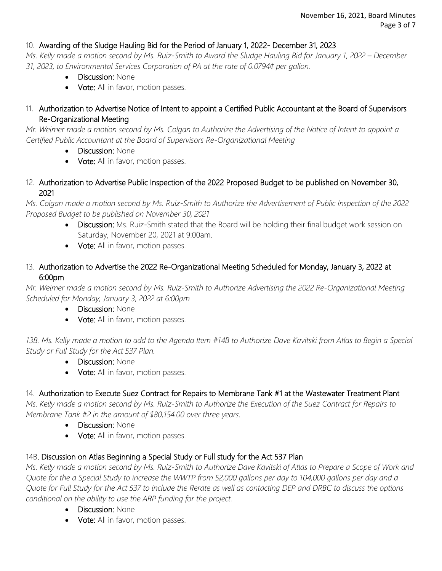### 10. Awarding of the Sludge Hauling Bid for the Period of January 1, 2022- December 31, 2023

*Ms. Kelly made a motion second by Ms. Ruiz-Smith to Award the Sludge Hauling Bid for January 1, 2022 – December 31, 2023, to Environmental Services Corporation of PA at the rate of 0.0794¢ per gallon.* 

- Discussion: None
- Vote: All in favor, motion passes.
- 11. Authorization to Advertise Notice of Intent to appoint a Certified Public Accountant at the Board of Supervisors Re-Organizational Meeting

*Mr. Weimer made a motion second by Ms. Colgan to Authorize the Advertising of the Notice of Intent to appoint a Certified Public Accountant at the Board of Supervisors Re-Organizational Meeting*

- Discussion: None
- Vote: All in favor, motion passes.
- 12. Authorization to Advertise Public Inspection of the 2022 Proposed Budget to be published on November 30, 2021

*Ms. Colgan made a motion second by Ms. Ruiz-Smith to Authorize the Advertisement of Public Inspection of the 2022 Proposed Budget to be published on November 30, 2021*

- Discussion: Ms. Ruiz-Smith stated that the Board will be holding their final budget work session on Saturday, November 20, 2021 at 9:00am.
- Vote: All in favor, motion passes.
- 13. Authorization to Advertise the 2022 Re-Organizational Meeting Scheduled for Monday, January 3, 2022 at 6:00pm

*Mr. Weimer made a motion second by Ms. Ruiz-Smith to Authorize Advertising the 2022 Re-Organizational Meeting Scheduled for Monday, January 3, 2022 at 6:00pm*

- Discussion: None
- Vote: All in favor, motion passes.

*13B. Ms. Kelly made a motion to add to the Agenda Item #14B to Authorize Dave Kavitski from Atlas to Begin a Special Study or Full Study for the Act 537 Plan.* 

- Discussion: None
- Vote: All in favor, motion passes.

### 14. Authorization to Execute Suez Contract for Repairs to Membrane Tank #1 at the Wastewater Treatment Plant

*Ms. Kelly made a motion second by Ms. Ruiz-Smith to Authorize the Execution of the Suez Contract for Repairs to Membrane Tank #2 in the amount of \$80,154.00 over three years.* 

- Discussion: None
- Vote: All in favor, motion passes.

## 14B. Discussion on Atlas Beginning a Special Study or Full study for the Act 537 Plan

*Ms. Kelly made a motion second by Ms. Ruiz-Smith to Authorize Dave Kavitski of Atlas to Prepare a Scope of Work and Quote for the a Special Study to increase the WWTP from 52,000 gallons per day to 104,000 gallons per day and a Quote for Full Study for the Act 537 to include the Rerate as well as contacting DEP and DRBC to discuss the options conditional on the ability to use the ARP funding for the project.* 

- Discussion: None
- Vote: All in favor, motion passes.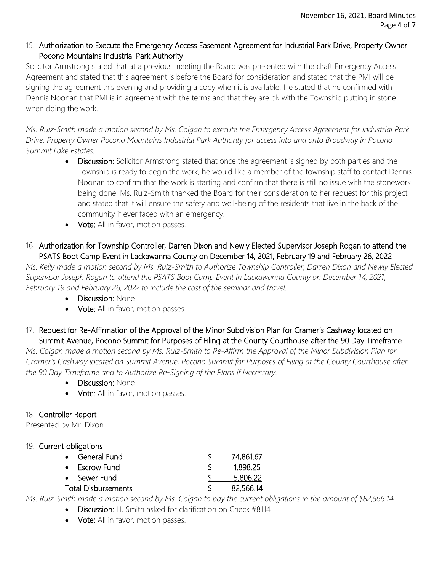### 15. Authorization to Execute the Emergency Access Easement Agreement for Industrial Park Drive, Property Owner Pocono Mountains Industrial Park Authority

Solicitor Armstrong stated that at a previous meeting the Board was presented with the draft Emergency Access Agreement and stated that this agreement is before the Board for consideration and stated that the PMI will be signing the agreement this evening and providing a copy when it is available. He stated that he confirmed with Dennis Noonan that PMI is in agreement with the terms and that they are ok with the Township putting in stone when doing the work.

*Ms. Ruiz-Smith made a motion second by Ms. Colgan to execute the Emergency Access Agreement for Industrial Park Drive, Property Owner Pocono Mountains Industrial Park Authority for access into and onto Broadway in Pocono Summit Lake Estates.*

- Discussion: Solicitor Armstrong stated that once the agreement is signed by both parties and the Township is ready to begin the work, he would like a member of the township staff to contact Dennis Noonan to confirm that the work is starting and confirm that there is still no issue with the stonework being done. Ms. Ruiz-Smith thanked the Board for their consideration to her request for this project and stated that it will ensure the safety and well-being of the residents that live in the back of the community if ever faced with an emergency.
- Vote: All in favor, motion passes.
- 16. Authorization for Township Controller, Darren Dixon and Newly Elected Supervisor Joseph Rogan to attend the PSATS Boot Camp Event in Lackawanna County on December 14, 2021, February 19 and February 26, 2022

*Ms. Kelly made a motion second by Ms. Ruiz-Smith to Authorize Township Controller, Darren Dixon and Newly Elected Supervisor Joseph Rogan to attend the PSATS Boot Camp Event in Lackawanna County on December 14, 2021, February 19 and February 26, 2022 to include the cost of the seminar and travel.* 

- Discussion: None
- Vote: All in favor, motion passes.

17. Request for Re-Affirmation of the Approval of the Minor Subdivision Plan for Cramer's Cashway located on Summit Avenue, Pocono Summit for Purposes of Filing at the County Courthouse after the 90 Day Timeframe

*Ms. Colgan made a motion second by Ms. Ruiz-Smith to Re-Affirm the Approval of the Minor Subdivision Plan for Cramer's Cashway located on Summit Avenue, Pocono Summit for Purposes of Filing at the County Courthouse after the 90 Day Timeframe and to Authorize Re-Signing of the Plans if Necessary.*

- Discussion: None
- Vote: All in favor, motion passes.

## 18. Controller Report

Presented by Mr. Dixon

### 19. Current obligations

|                            | • General Fund | 74,861.67 |
|----------------------------|----------------|-----------|
|                            | • Escrow Fund  | 1,898.25  |
|                            | • Sewer Fund   | 5,806.22  |
| <b>Total Disbursements</b> |                | 82,566.14 |

*Ms. Ruiz-Smith made a motion second by Ms. Colgan to pay the current obligations in the amount of \$82,566.14.*

- **Discussion:** H. Smith asked for clarification on Check #8114
- Vote: All in favor, motion passes.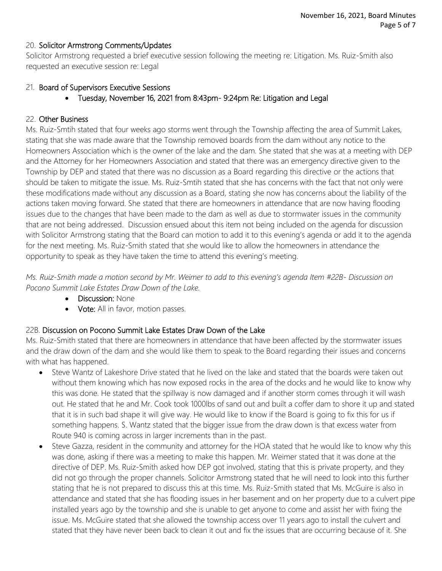#### 20. Solicitor Armstrong Comments/Updates

Solicitor Armstrong requested a brief executive session following the meeting re: Litigation. Ms. Ruiz-Smith also requested an executive session re: Legal

#### 21. Board of Supervisors Executive Sessions

• Tuesday, November 16, 2021 from 8:43pm- 9:24pm Re: Litigation and Legal

#### 22. Other Business

Ms. Ruiz-Smtih stated that four weeks ago storms went through the Township affecting the area of Summit Lakes, stating that she was made aware that the Township removed boards from the dam without any notice to the Homeowners Association which is the owner of the lake and the dam. She stated that she was at a meeting with DEP and the Attorney for her Homeowners Association and stated that there was an emergency directive given to the Township by DEP and stated that there was no discussion as a Board regarding this directive or the actions that should be taken to mitigate the issue. Ms. Ruiz-Smtih stated that she has concerns with the fact that not only were these modifications made without any discussion as a Board, stating she now has concerns about the liability of the actions taken moving forward. She stated that there are homeowners in attendance that are now having flooding issues due to the changes that have been made to the dam as well as due to stormwater issues in the community that are not being addressed. Discussion ensued about this item not being included on the agenda for discussion with Solicitor Armstrong stating that the Board can motion to add it to this evening's agenda or add it to the agenda for the next meeting. Ms. Ruiz-Smith stated that she would like to allow the homeowners in attendance the opportunity to speak as they have taken the time to attend this evening's meeting.

*Ms. Ruiz-Smith made a motion second by Mr. Weimer to add to this evening's agenda Item #22B- Discussion on Pocono Summit Lake Estates Draw Down of the Lake.*

- Discussion: None
- Vote: All in favor, motion passes.

### 22B. Discussion on Pocono Summit Lake Estates Draw Down of the Lake

Ms. Ruiz-Smith stated that there are homeowners in attendance that have been affected by the stormwater issues and the draw down of the dam and she would like them to speak to the Board regarding their issues and concerns with what has happened.

- Steve Wantz of Lakeshore Drive stated that he lived on the lake and stated that the boards were taken out without them knowing which has now exposed rocks in the area of the docks and he would like to know why this was done. He stated that the spillway is now damaged and if another storm comes through it will wash out. He stated that he and Mr. Cook took 1000lbs of sand out and built a coffer dam to shore it up and stated that it is in such bad shape it will give way. He would like to know if the Board is going to fix this for us if something happens. S. Wantz stated that the bigger issue from the draw down is that excess water from Route 940 is coming across in larger increments than in the past.
- Steve Gazza, resident in the community and attorney for the HOA stated that he would like to know why this was done, asking if there was a meeting to make this happen. Mr. Weimer stated that it was done at the directive of DEP. Ms. Ruiz-Smith asked how DEP got involved, stating that this is private property, and they did not go through the proper channels. Solicitor Armstrong stated that he will need to look into this further stating that he is not prepared to discuss this at this time. Ms. Ruiz-Smith stated that Ms. McGuire is also in attendance and stated that she has flooding issues in her basement and on her property due to a culvert pipe installed years ago by the township and she is unable to get anyone to come and assist her with fixing the issue. Ms. McGuire stated that she allowed the township access over 11 years ago to install the culvert and stated that they have never been back to clean it out and fix the issues that are occurring because of it. She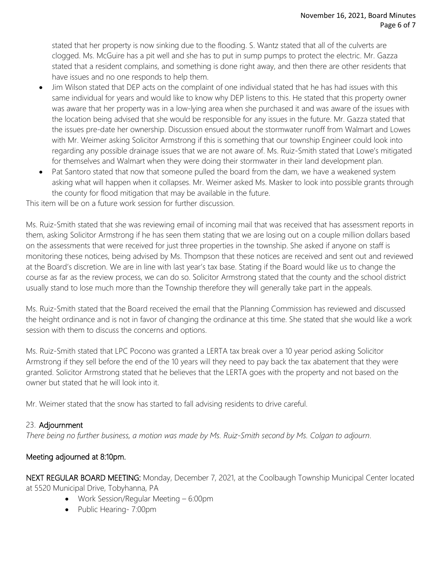stated that her property is now sinking due to the flooding. S. Wantz stated that all of the culverts are clogged. Ms. McGuire has a pit well and she has to put in sump pumps to protect the electric. Mr. Gazza stated that a resident complains, and something is done right away, and then there are other residents that have issues and no one responds to help them.

- Jim Wilson stated that DEP acts on the complaint of one individual stated that he has had issues with this same individual for years and would like to know why DEP listens to this. He stated that this property owner was aware that her property was in a low-lying area when she purchased it and was aware of the issues with the location being advised that she would be responsible for any issues in the future. Mr. Gazza stated that the issues pre-date her ownership. Discussion ensued about the stormwater runoff from Walmart and Lowes with Mr. Weimer asking Solicitor Armstrong if this is something that our township Engineer could look into regarding any possible drainage issues that we are not aware of. Ms. Ruiz-Smith stated that Lowe's mitigated for themselves and Walmart when they were doing their stormwater in their land development plan.
- Pat Santoro stated that now that someone pulled the board from the dam, we have a weakened system asking what will happen when it collapses. Mr. Weimer asked Ms. Masker to look into possible grants through the county for flood mitigation that may be available in the future.

This item will be on a future work session for further discussion.

Ms. Ruiz-Smith stated that she was reviewing email of incoming mail that was received that has assessment reports in them, asking Solicitor Armstrong if he has seen them stating that we are losing out on a couple million dollars based on the assessments that were received for just three properties in the township. She asked if anyone on staff is monitoring these notices, being advised by Ms. Thompson that these notices are received and sent out and reviewed at the Board's discretion. We are in line with last year's tax base. Stating if the Board would like us to change the course as far as the review process, we can do so. Solicitor Armstrong stated that the county and the school district usually stand to lose much more than the Township therefore they will generally take part in the appeals.

Ms. Ruiz-Smith stated that the Board received the email that the Planning Commission has reviewed and discussed the height ordinance and is not in favor of changing the ordinance at this time. She stated that she would like a work session with them to discuss the concerns and options.

Ms. Ruiz-Smith stated that LPC Pocono was granted a LERTA tax break over a 10 year period asking Solicitor Armstrong if they sell before the end of the 10 years will they need to pay back the tax abatement that they were granted. Solicitor Armstrong stated that he believes that the LERTA goes with the property and not based on the owner but stated that he will look into it.

Mr. Weimer stated that the snow has started to fall advising residents to drive careful.

### 23. Adjournment

*There being no further business, a motion was made by Ms. Ruiz-Smith second by Ms. Colgan to adjourn*.

### Meeting adjourned at 8:10pm.

NEXT REGULAR BOARD MEETING: Monday, December 7, 2021, at the Coolbaugh Township Municipal Center located at 5520 Municipal Drive, Tobyhanna, PA

- Work Session/Regular Meeting 6:00pm
- Public Hearing- 7:00pm